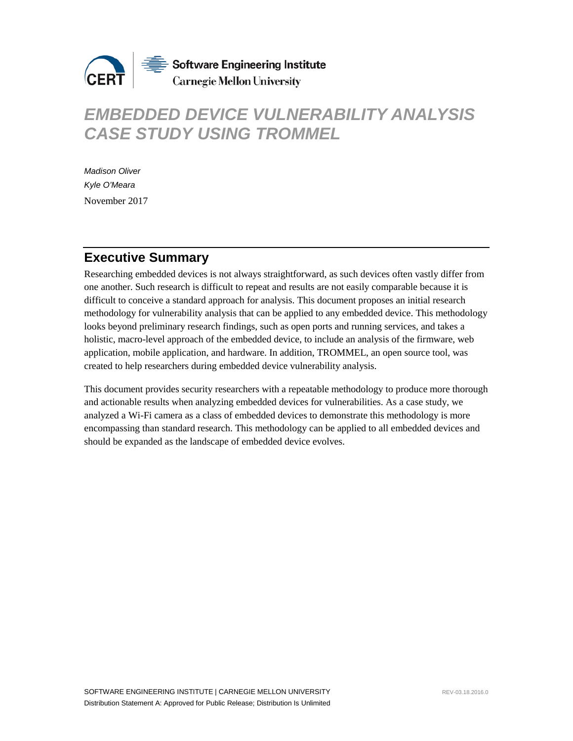

# *EMBEDDED DEVICE VULNERABILITY ANALYSIS CASE STUDY USING TROMMEL*

*Madison Oliver Kyle O'Meara* November 2017

## **Executive Summary**

Researching embedded devices is not always straightforward, as such devices often vastly differ from one another. Such research is difficult to repeat and results are not easily comparable because it is difficult to conceive a standard approach for analysis. This document proposes an initial research methodology for vulnerability analysis that can be applied to any embedded device. This methodology looks beyond preliminary research findings, such as open ports and running services, and takes a holistic, macro-level approach of the embedded device, to include an analysis of the firmware, web application, mobile application, and hardware. In addition, TROMMEL, an open source tool, was created to help researchers during embedded device vulnerability analysis.

This document provides security researchers with a repeatable methodology to produce more thorough and actionable results when analyzing embedded devices for vulnerabilities. As a case study, we analyzed a Wi-Fi camera as a class of embedded devices to demonstrate this methodology is more encompassing than standard research. This methodology can be applied to all embedded devices and should be expanded as the landscape of embedded device evolves.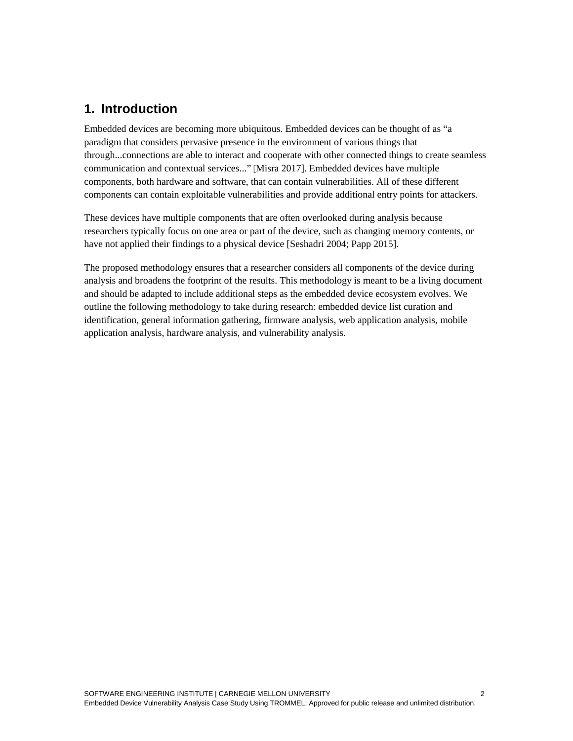## **1. Introduction**

Embedded devices are becoming more ubiquitous. Embedded devices can be thought of as "a paradigm that considers pervasive presence in the environment of various things that through...connections are able to interact and cooperate with other connected things to create seamless communication and contextual services..." [Misra 2017]. Embedded devices have multiple components, both hardware and software, that can contain vulnerabilities. All of these different components can contain exploitable vulnerabilities and provide additional entry points for attackers.

These devices have multiple components that are often overlooked during analysis because researchers typically focus on one area or part of the device, such as changing memory contents, or have not applied their findings to a physical device [Seshadri 2004; Papp 2015].

The proposed methodology ensures that a researcher considers all components of the device during analysis and broadens the footprint of the results. This methodology is meant to be a living document and should be adapted to include additional steps as the embedded device ecosystem evolves. We outline the following methodology to take during research: embedded device list curation and identification, general information gathering, firmware analysis, web application analysis, mobile application analysis, hardware analysis, and vulnerability analysis.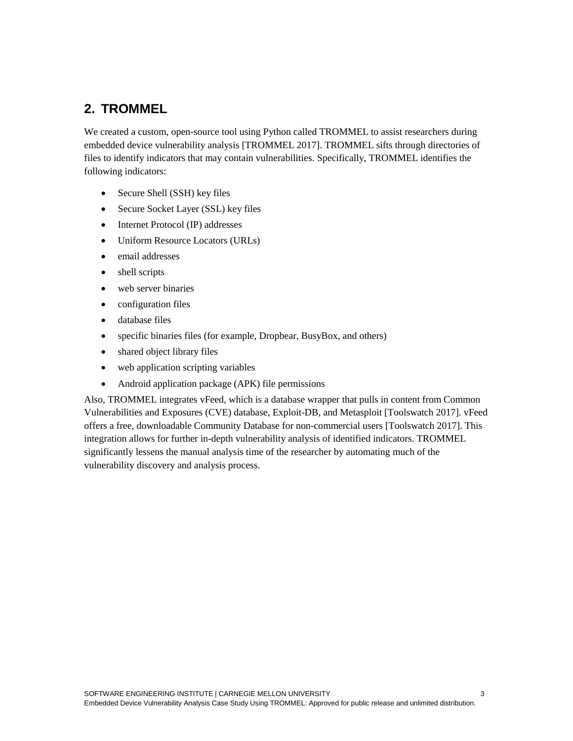## **2. TROMMEL**

We created a custom, open-source tool using Python called TROMMEL to assist researchers during embedded device vulnerability analysis [TROMMEL 2017]. TROMMEL sifts through directories of files to identify indicators that may contain vulnerabilities. Specifically, TROMMEL identifies the following indicators:

- Secure Shell (SSH) key files
- Secure Socket Layer (SSL) key files
- Internet Protocol (IP) addresses
- Uniform Resource Locators (URLs)
- email addresses
- shell scripts
- web server binaries
- configuration files
- database files
- specific binaries files (for example, Dropbear, BusyBox, and others)
- shared object library files
- web application scripting variables
- Android application package (APK) file permissions

Also, TROMMEL integrates vFeed, which is a database wrapper that pulls in content from Common Vulnerabilities and Exposures (CVE) database, Exploit-DB, and Metasploit [Toolswatch 2017]. vFeed offers a free, downloadable Community Database for non-commercial users [Toolswatch 2017]. This integration allows for further in-depth vulnerability analysis of identified indicators. TROMMEL significantly lessens the manual analysis time of the researcher by automating much of the vulnerability discovery and analysis process.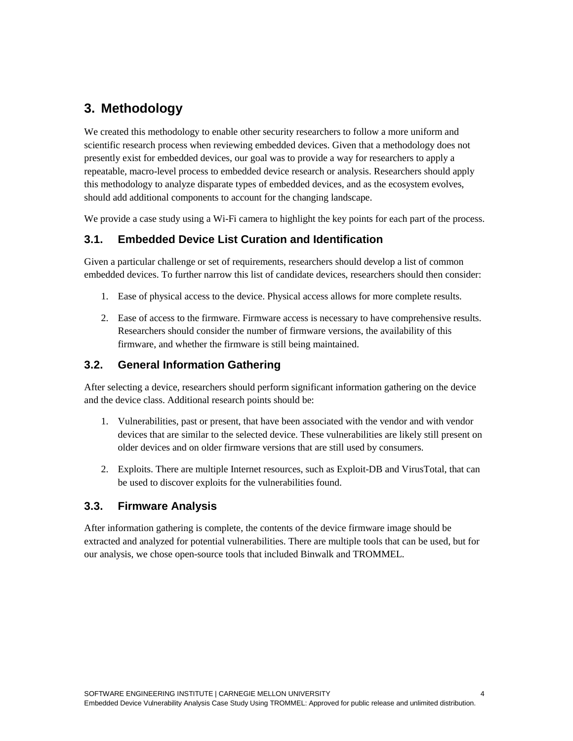## **3. Methodology**

We created this methodology to enable other security researchers to follow a more uniform and scientific research process when reviewing embedded devices. Given that a methodology does not presently exist for embedded devices, our goal was to provide a way for researchers to apply a repeatable, macro-level process to embedded device research or analysis. Researchers should apply this methodology to analyze disparate types of embedded devices, and as the ecosystem evolves, should add additional components to account for the changing landscape.

We provide a case study using a Wi-Fi camera to highlight the key points for each part of the process.

### **3.1. Embedded Device List Curation and Identification**

Given a particular challenge or set of requirements, researchers should develop a list of common embedded devices. To further narrow this list of candidate devices, researchers should then consider:

- 1. Ease of physical access to the device. Physical access allows for more complete results.
- 2. Ease of access to the firmware. Firmware access is necessary to have comprehensive results. Researchers should consider the number of firmware versions, the availability of this firmware, and whether the firmware is still being maintained.

### **3.2. General Information Gathering**

After selecting a device, researchers should perform significant information gathering on the device and the device class. Additional research points should be:

- 1. Vulnerabilities, past or present, that have been associated with the vendor and with vendor devices that are similar to the selected device. These vulnerabilities are likely still present on older devices and on older firmware versions that are still used by consumers.
- 2. Exploits. There are multiple Internet resources, such as Exploit-DB and VirusTotal, that can be used to discover exploits for the vulnerabilities found.

### **3.3. Firmware Analysis**

After information gathering is complete, the contents of the device firmware image should be extracted and analyzed for potential vulnerabilities. There are multiple tools that can be used, but for our analysis, we chose open-source tools that included Binwalk and TROMMEL.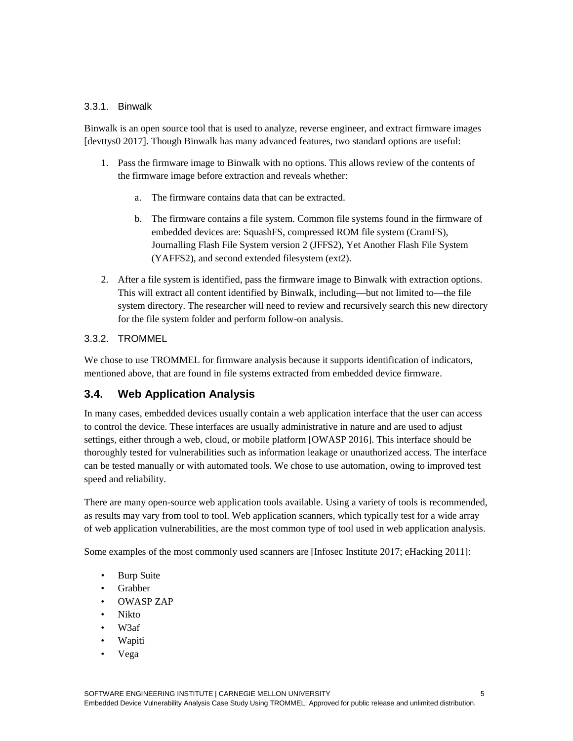### 3.3.1. Binwalk

Binwalk is an open source tool that is used to analyze, reverse engineer, and extract firmware images [devttys0 2017]. Though Binwalk has many advanced features, two standard options are useful:

- 1. Pass the firmware image to Binwalk with no options. This allows review of the contents of the firmware image before extraction and reveals whether:
	- a. The firmware contains data that can be extracted.
	- b. The firmware contains a file system. Common file systems found in the firmware of embedded devices are: SquashFS, compressed ROM file system (CramFS), Journalling Flash File System version 2 (JFFS2), Yet Another Flash File System (YAFFS2), and second extended filesystem (ext2).
- 2. After a file system is identified, pass the firmware image to Binwalk with extraction options. This will extract all content identified by Binwalk, including—but not limited to—the file system directory. The researcher will need to review and recursively search this new directory for the file system folder and perform follow-on analysis.

### 3.3.2. TROMMEL

We chose to use TROMMEL for firmware analysis because it supports identification of indicators, mentioned above, that are found in file systems extracted from embedded device firmware.

### **3.4. Web Application Analysis**

In many cases, embedded devices usually contain a web application interface that the user can access to control the device. These interfaces are usually administrative in nature and are used to adjust settings, either through a web, cloud, or mobile platform [OWASP 2016]. This interface should be thoroughly tested for vulnerabilities such as information leakage or unauthorized access. The interface can be tested manually or with automated tools. We chose to use automation, owing to improved test speed and reliability.

There are many open-source web application tools available. Using a variety of tools is recommended, as results may vary from tool to tool. Web application scanners, which typically test for a wide array of web application vulnerabilities, are the most common type of tool used in web application analysis.

Some examples of the most commonly used scanners are [Infosec Institute 2017; eHacking 2011]:

- Burp Suite
- Grabber
- OWASP ZAP
- Nikto
- W3af
- Wapiti
- Vega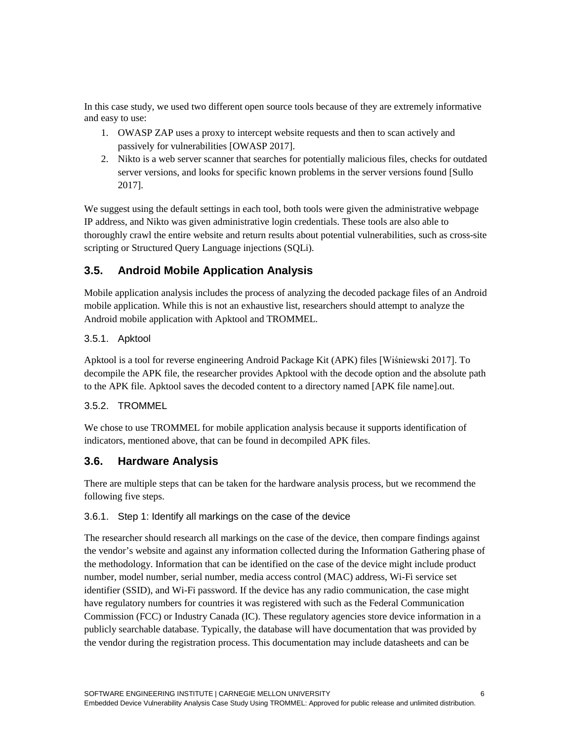In this case study, we used two different open source tools because of they are extremely informative and easy to use:

- 1. OWASP ZAP uses a proxy to intercept website requests and then to scan actively and passively for vulnerabilities [OWASP 2017].
- 2. Nikto is a web server scanner that searches for potentially malicious files, checks for outdated server versions, and looks for specific known problems in the server versions found [Sullo 2017].

We suggest using the default settings in each tool, both tools were given the administrative webpage IP address, and Nikto was given administrative login credentials. These tools are also able to thoroughly crawl the entire website and return results about potential vulnerabilities, such as cross-site scripting or Structured Query Language injections (SQLi).

## **3.5. Android Mobile Application Analysis**

Mobile application analysis includes the process of analyzing the decoded package files of an Android mobile application. While this is not an exhaustive list, researchers should attempt to analyze the Android mobile application with Apktool and TROMMEL.

### 3.5.1. Apktool

Apktool is a tool for reverse engineering Android Package Kit (APK) files [Wiśniewski 2017]. To decompile the APK file, the researcher provides Apktool with the decode option and the absolute path to the APK file. Apktool saves the decoded content to a directory named [APK file name].out.

### 3.5.2. TROMMEL

We chose to use TROMMEL for mobile application analysis because it supports identification of indicators, mentioned above, that can be found in decompiled APK files.

### **3.6. Hardware Analysis**

There are multiple steps that can be taken for the hardware analysis process, but we recommend the following five steps.

### 3.6.1. Step 1: Identify all markings on the case of the device

The researcher should research all markings on the case of the device, then compare findings against the vendor's website and against any information collected during the Information Gathering phase of the methodology. Information that can be identified on the case of the device might include product number, model number, serial number, media access control (MAC) address, Wi-Fi service set identifier (SSID), and Wi-Fi password. If the device has any radio communication, the case might have regulatory numbers for countries it was registered with such as the Federal Communication Commission (FCC) or Industry Canada (IC). These regulatory agencies store device information in a publicly searchable database. Typically, the database will have documentation that was provided by the vendor during the registration process. This documentation may include datasheets and can be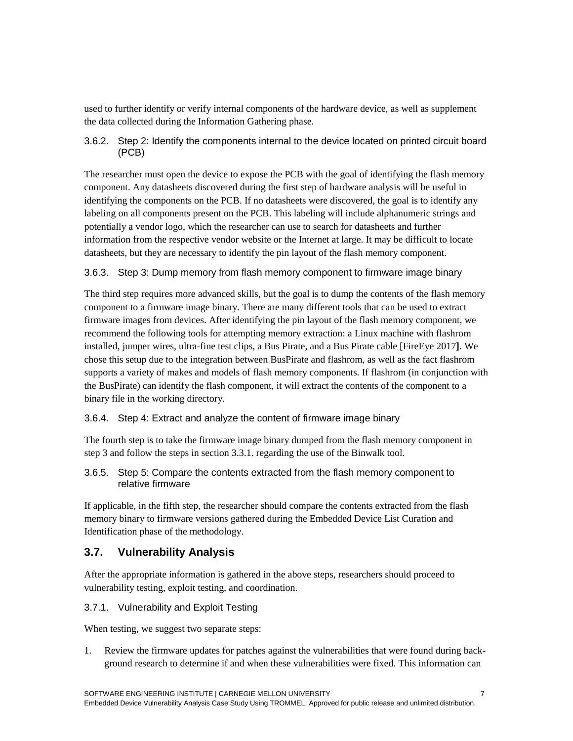used to further identify or verify internal components of the hardware device, as well as supplement the data collected during the Information Gathering phase.

### 3.6.2. Step 2: Identify the components internal to the device located on printed circuit board (PCB)

The researcher must open the device to expose the PCB with the goal of identifying the flash memory component. Any datasheets discovered during the first step of hardware analysis will be useful in identifying the components on the PCB. If no datasheets were discovered, the goal is to identify any labeling on all components present on the PCB. This labeling will include alphanumeric strings and potentially a vendor logo, which the researcher can use to search for datasheets and further information from the respective vendor website or the Internet at large. It may be difficult to locate datasheets, but they are necessary to identify the pin layout of the flash memory component.

### 3.6.3. Step 3: Dump memory from flash memory component to firmware image binary

The third step requires more advanced skills, but the goal is to dump the contents of the flash memory component to a firmware image binary. There are many different tools that can be used to extract firmware images from devices. After identifying the pin layout of the flash memory component, we recommend the following tools for attempting memory extraction: a Linux machine with flashrom installed, jumper wires, ultra-fine test clips, a Bus Pirate, and a Bus Pirate cable [FireEye 2017**]**. We chose this setup due to the integration between BusPirate and flashrom, as well as the fact flashrom supports a variety of makes and models of flash memory components. If flashrom (in conjunction with the BusPirate) can identify the flash component, it will extract the contents of the component to a binary file in the working directory.

### 3.6.4. Step 4: Extract and analyze the content of firmware image binary

The fourth step is to take the firmware image binary dumped from the flash memory component in step 3 and follow the steps in section 3.3.1. regarding the use of the Binwalk tool.

### 3.6.5. Step 5: Compare the contents extracted from the flash memory component to relative firmware

If applicable, in the fifth step, the researcher should compare the contents extracted from the flash memory binary to firmware versions gathered during the Embedded Device List Curation and Identification phase of the methodology.

### **3.7. Vulnerability Analysis**

After the appropriate information is gathered in the above steps, researchers should proceed to vulnerability testing, exploit testing, and coordination.

### 3.7.1. Vulnerability and Exploit Testing

When testing, we suggest two separate steps:

1. Review the firmware updates for patches against the vulnerabilities that were found during background research to determine if and when these vulnerabilities were fixed. This information can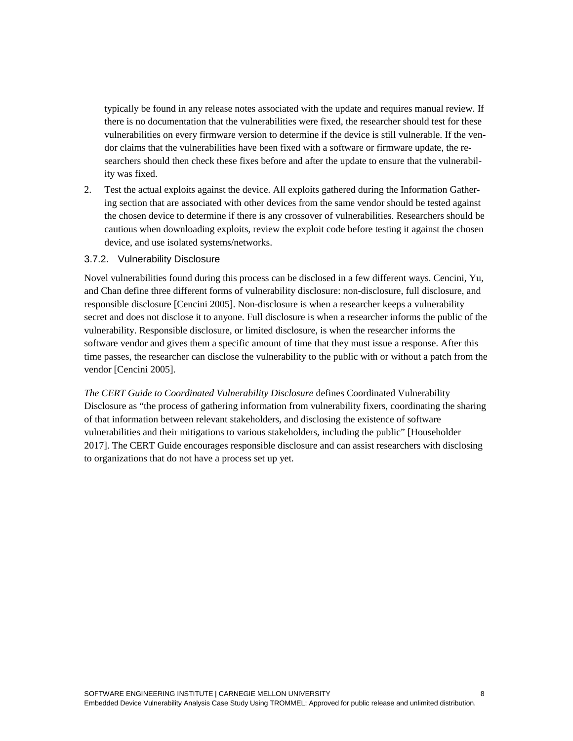typically be found in any release notes associated with the update and requires manual review. If there is no documentation that the vulnerabilities were fixed, the researcher should test for these vulnerabilities on every firmware version to determine if the device is still vulnerable. If the vendor claims that the vulnerabilities have been fixed with a software or firmware update, the researchers should then check these fixes before and after the update to ensure that the vulnerability was fixed.

2. Test the actual exploits against the device. All exploits gathered during the Information Gathering section that are associated with other devices from the same vendor should be tested against the chosen device to determine if there is any crossover of vulnerabilities. Researchers should be cautious when downloading exploits, review the exploit code before testing it against the chosen device, and use isolated systems/networks.

#### 3.7.2. Vulnerability Disclosure

Novel vulnerabilities found during this process can be disclosed in a few different ways. Cencini, Yu, and Chan define three different forms of vulnerability disclosure: non-disclosure, full disclosure, and responsible disclosure [Cencini 2005]. Non-disclosure is when a researcher keeps a vulnerability secret and does not disclose it to anyone. Full disclosure is when a researcher informs the public of the vulnerability. Responsible disclosure, or limited disclosure, is when the researcher informs the software vendor and gives them a specific amount of time that they must issue a response. After this time passes, the researcher can disclose the vulnerability to the public with or without a patch from the vendor [Cencini 2005].

*The CERT Guide to Coordinated Vulnerability Disclosure* defines Coordinated Vulnerability Disclosure as "the process of gathering information from vulnerability fixers, coordinating the sharing of that information between relevant stakeholders, and disclosing the existence of software vulnerabilities and their mitigations to various stakeholders, including the public" [Householder 2017]. The CERT Guide encourages responsible disclosure and can assist researchers with disclosing to organizations that do not have a process set up yet.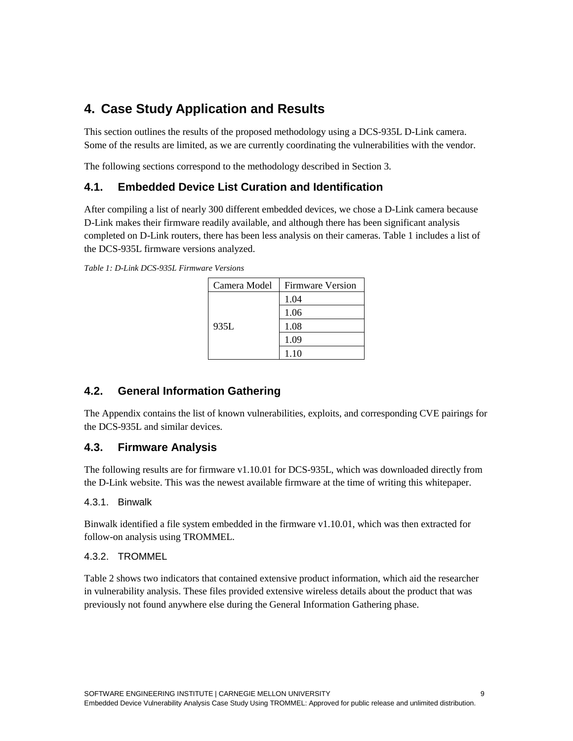## **4. Case Study Application and Results**

This section outlines the results of the proposed methodology using a DCS-935L D-Link camera. Some of the results are limited, as we are currently coordinating the vulnerabilities with the vendor.

The following sections correspond to the methodology described in Section 3.

### **4.1. Embedded Device List Curation and Identification**

After compiling a list of nearly 300 different embedded devices, we chose a D-Link camera because D-Link makes their firmware readily available, and although there has been significant analysis completed on D-Link routers, there has been less analysis on their cameras. [Table 1](#page-8-0) includes a list of the DCS-935L firmware versions analyzed.

<span id="page-8-0"></span>*Table 1: D-Link DCS-935L Firmware Versions*

| Camera Model | <b>Firmware Version</b> |
|--------------|-------------------------|
| 935L         | 1.04                    |
|              | 1.06                    |
|              | 1.08                    |
|              | 1.09                    |
|              | 1.10                    |

### **4.2. General Information Gathering**

The Appendix contains the list of known vulnerabilities, exploits, and corresponding CVE pairings for the DCS-935L and similar devices.

### **4.3. Firmware Analysis**

The following results are for firmware v1.10.01 for DCS-935L, which was downloaded directly from the D-Link website. This was the newest available firmware at the time of writing this whitepaper.

### 4.3.1. Binwalk

Binwalk identified a file system embedded in the firmware v1.10.01, which was then extracted for follow-on analysis using TROMMEL.

### 4.3.2. TROMMEL

[Table 2](#page-9-0) shows two indicators that contained extensive product information, which aid the researcher in vulnerability analysis. These files provided extensive wireless details about the product that was previously not found anywhere else during the General Information Gathering phase.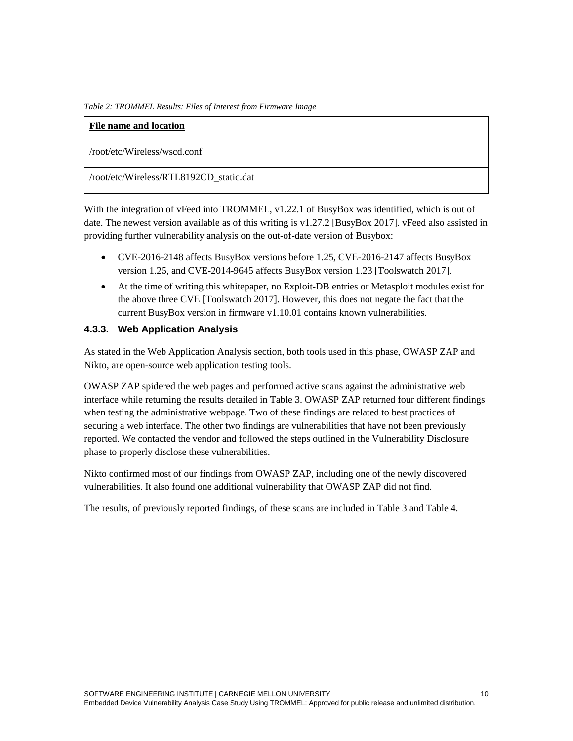<span id="page-9-0"></span>*Table 2: TROMMEL Results: Files of Interest from Firmware Image*

| File name and location                  |
|-----------------------------------------|
| /root/etc/Wireless/wscd.conf            |
| /root/etc/Wireless/RTL8192CD_static.dat |

With the integration of vFeed into TROMMEL, v1.22.1 of BusyBox was identified, which is out of date. The newest version available as of this writing is v1.27.2 [BusyBox 2017]. vFeed also assisted in providing further vulnerability analysis on the out-of-date version of Busybox:

- CVE-2016-2148 affects BusyBox versions before 1.25, CVE-2016-2147 affects BusyBox version 1.25, and CVE-2014-9645 affects BusyBox version 1.23 [Toolswatch 2017].
- At the time of writing this whitepaper, no Exploit-DB entries or Metasploit modules exist for the above three CVE [Toolswatch 2017]. However, this does not negate the fact that the current BusyBox version in firmware v1.10.01 contains known vulnerabilities.

### **4.3.3. Web Application Analysis**

As stated in the Web Application Analysis section, both tools used in this phase, OWASP ZAP and Nikto, are open-source web application testing tools.

OWASP ZAP spidered the web pages and performed active scans against the administrative web interface while returning the results detailed in Table 3. OWASP ZAP returned four different findings when testing the administrative webpage. Two of these findings are related to best practices of securing a web interface. The other two findings are vulnerabilities that have not been previously reported. We contacted the vendor and followed the steps outlined in the Vulnerability Disclosure phase to properly disclose these vulnerabilities.

Nikto confirmed most of our findings from OWASP ZAP, including one of the newly discovered vulnerabilities. It also found one additional vulnerability that OWASP ZAP did not find.

The results, of previously reported findings, of these scans are included in Table 3 and Table 4.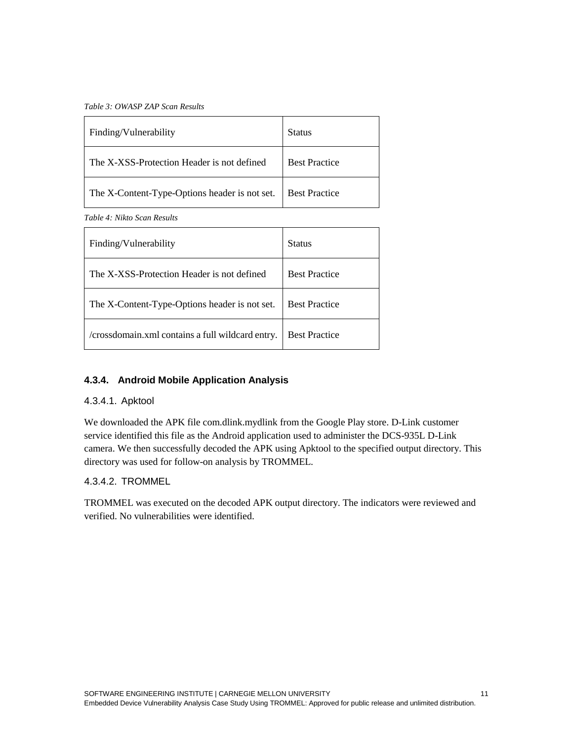*Table 3: OWASP ZAP Scan Results*

| Finding/Vulnerability                         | <b>Status</b>        |
|-----------------------------------------------|----------------------|
| The X-XSS-Protection Header is not defined    | <b>Best Practice</b> |
| The X-Content-Type-Options header is not set. | <b>Best Practice</b> |

*Table 4: Nikto Scan Results*

| Finding/Vulnerability                            | <b>Status</b>        |
|--------------------------------------------------|----------------------|
| The X-XSS-Protection Header is not defined       | <b>Best Practice</b> |
| The X-Content-Type-Options header is not set.    | <b>Best Practice</b> |
| /crossdomain.xml contains a full wildcard entry. | <b>Best Practice</b> |

### **4.3.4. Android Mobile Application Analysis**

### 4.3.4.1. Apktool

We downloaded the APK file com.dlink.mydlink from the Google Play store. D-Link customer service identified this file as the Android application used to administer the DCS-935L D-Link camera. We then successfully decoded the APK using Apktool to the specified output directory. This directory was used for follow-on analysis by TROMMEL.

### 4.3.4.2. TROMMEL

TROMMEL was executed on the decoded APK output directory. The indicators were reviewed and verified. No vulnerabilities were identified.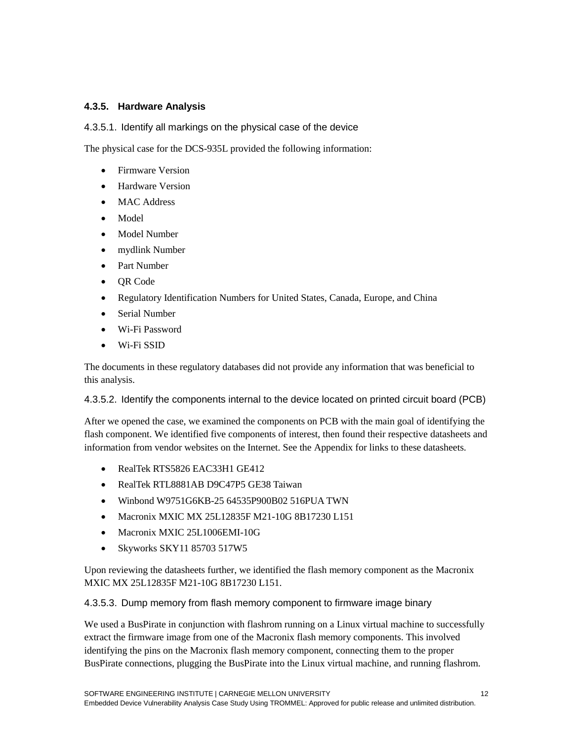### **4.3.5. Hardware Analysis**

4.3.5.1. Identify all markings on the physical case of the device

The physical case for the DCS-935L provided the following information:

- Firmware Version
- Hardware Version
- MAC Address
- Model
- Model Number
- mydlink Number
- Part Number
- QR Code
- Regulatory Identification Numbers for United States, Canada, Europe, and China
- Serial Number
- Wi-Fi Password
- Wi-Fi SSID

The documents in these regulatory databases did not provide any information that was beneficial to this analysis.

4.3.5.2. Identify the components internal to the device located on printed circuit board (PCB)

After we opened the case, we examined the components on PCB with the main goal of identifying the flash component. We identified five components of interest, then found their respective datasheets and information from vendor websites on the Internet. See the Appendix for links to these datasheets.

- RealTek RTS5826 EAC33H1 GE412
- RealTek RTL8881AB D9C47P5 GE38 Taiwan
- Winbond W9751G6KB-25 64535P900B02 516PUA TWN
- Macronix MXIC MX 25L12835F M21-10G 8B17230 L151
- Macronix MXIC 25L1006EMI-10G
- Skyworks SKY11 85703 517W5

Upon reviewing the datasheets further, we identified the flash memory component as the Macronix MXIC MX 25L12835F M21-10G 8B17230 L151.

4.3.5.3. Dump memory from flash memory component to firmware image binary

We used a BusPirate in conjunction with flashrom running on a Linux virtual machine to successfully extract the firmware image from one of the Macronix flash memory components. This involved identifying the pins on the Macronix flash memory component, connecting them to the proper BusPirate connections, plugging the BusPirate into the Linux virtual machine, and running flashrom.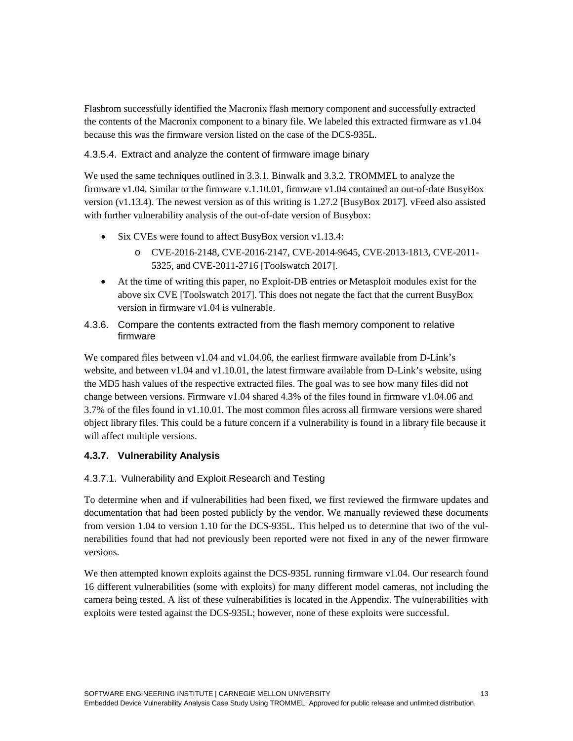Flashrom successfully identified the Macronix flash memory component and successfully extracted the contents of the Macronix component to a binary file. We labeled this extracted firmware as v1.04 because this was the firmware version listed on the case of the DCS-935L.

### 4.3.5.4. Extract and analyze the content of firmware image binary

We used the same techniques outlined in 3.3.1. Binwalk and 3.3.2. TROMMEL to analyze the firmware v1.04. Similar to the firmware v.1.10.01, firmware v1.04 contained an out-of-date BusyBox version (v1.13.4). The newest version as of this writing is 1.27.2 [BusyBox 2017]. vFeed also assisted with further vulnerability analysis of the out-of-date version of Busybox:

- Six CVEs were found to affect BusyBox version v1.13.4:
	- o CVE-2016-2148, CVE-2016-2147, CVE-2014-9645, CVE-2013-1813, CVE-2011- 5325, and CVE-2011-2716 [Toolswatch 2017].
- At the time of writing this paper, no Exploit-DB entries or Metasploit modules exist for the above six CVE [Toolswatch 2017]. This does not negate the fact that the current BusyBox version in firmware v1.04 is vulnerable.
- 4.3.6. Compare the contents extracted from the flash memory component to relative firmware

We compared files between v1.04 and v1.04.06, the earliest firmware available from D-Link's website, and between v1.04 and v1.10.01, the latest firmware available from D-Link's website, using the MD5 hash values of the respective extracted files. The goal was to see how many files did not change between versions. Firmware v1.04 shared 4.3% of the files found in firmware v1.04.06 and 3.7% of the files found in v1.10.01. The most common files across all firmware versions were shared object library files. This could be a future concern if a vulnerability is found in a library file because it will affect multiple versions.

### **4.3.7. Vulnerability Analysis**

### 4.3.7.1. Vulnerability and Exploit Research and Testing

To determine when and if vulnerabilities had been fixed, we first reviewed the firmware updates and documentation that had been posted publicly by the vendor. We manually reviewed these documents from version 1.04 to version 1.10 for the DCS-935L. This helped us to determine that two of the vulnerabilities found that had not previously been reported were not fixed in any of the newer firmware versions.

We then attempted known exploits against the DCS-935L running firmware v1.04. Our research found 16 different vulnerabilities (some with exploits) for many different model cameras, not including the camera being tested. A list of these vulnerabilities is located in the Appendix. The vulnerabilities with exploits were tested against the DCS-935L; however, none of these exploits were successful.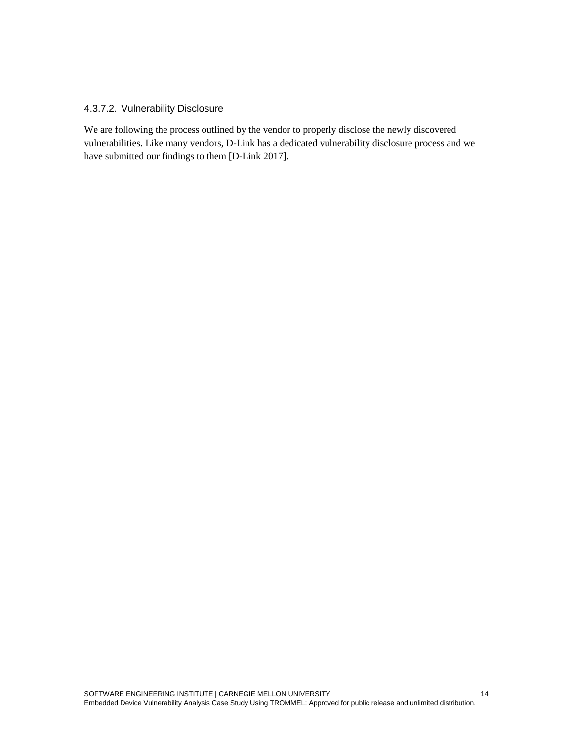### 4.3.7.2. Vulnerability Disclosure

We are following the process outlined by the vendor to properly disclose the newly discovered vulnerabilities. Like many vendors, D-Link has a dedicated vulnerability disclosure process and we have submitted our findings to them [D-Link 2017].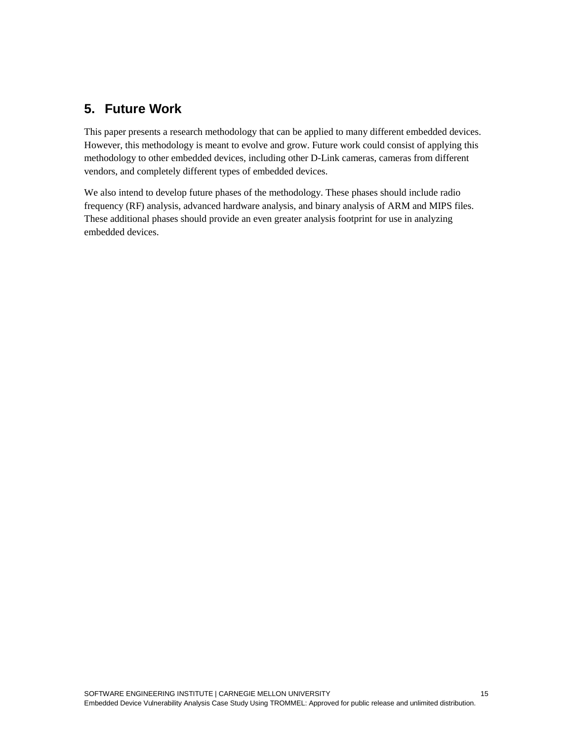## **5. Future Work**

This paper presents a research methodology that can be applied to many different embedded devices. However, this methodology is meant to evolve and grow. Future work could consist of applying this methodology to other embedded devices, including other D-Link cameras, cameras from different vendors, and completely different types of embedded devices.

We also intend to develop future phases of the methodology. These phases should include radio frequency (RF) analysis, advanced hardware analysis, and binary analysis of ARM and MIPS files. These additional phases should provide an even greater analysis footprint for use in analyzing embedded devices.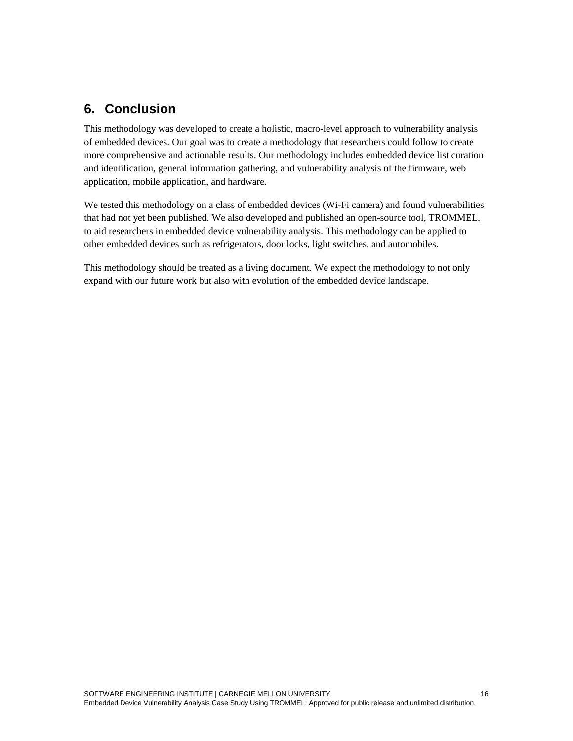## **6. Conclusion**

This methodology was developed to create a holistic, macro-level approach to vulnerability analysis of embedded devices. Our goal was to create a methodology that researchers could follow to create more comprehensive and actionable results. Our methodology includes embedded device list curation and identification, general information gathering, and vulnerability analysis of the firmware, web application, mobile application, and hardware.

We tested this methodology on a class of embedded devices (Wi-Fi camera) and found vulnerabilities that had not yet been published. We also developed and published an open-source tool, TROMMEL, to aid researchers in embedded device vulnerability analysis. This methodology can be applied to other embedded devices such as refrigerators, door locks, light switches, and automobiles.

This methodology should be treated as a living document. We expect the methodology to not only expand with our future work but also with evolution of the embedded device landscape.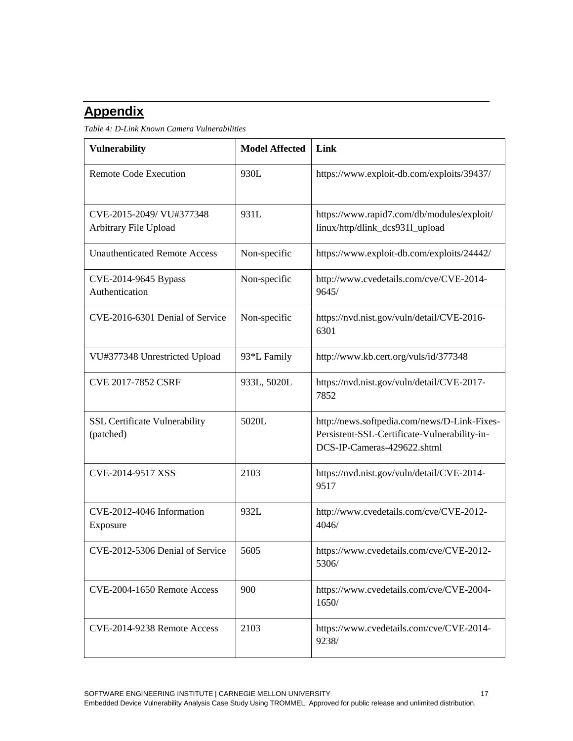# **Appendix**

*Table 4: D-Link Known Camera Vulnerabilities*

| <b>Vulnerability</b>                              | <b>Model Affected</b> | Link                                                                                                                        |
|---------------------------------------------------|-----------------------|-----------------------------------------------------------------------------------------------------------------------------|
| <b>Remote Code Execution</b>                      | 930L                  | https://www.exploit-db.com/exploits/39437/                                                                                  |
| CVE-2015-2049/ VU#377348<br>Arbitrary File Upload | 931L                  | https://www.rapid7.com/db/modules/exploit/<br>linux/http/dlink_dcs9311_upload                                               |
| <b>Unauthenticated Remote Access</b>              | Non-specific          | https://www.exploit-db.com/exploits/24442/                                                                                  |
| CVE-2014-9645 Bypass<br>Authentication            | Non-specific          | http://www.cvedetails.com/cve/CVE-2014-<br>9645/                                                                            |
| CVE-2016-6301 Denial of Service                   | Non-specific          | https://nvd.nist.gov/vuln/detail/CVE-2016-<br>6301                                                                          |
| VU#377348 Unrestricted Upload                     | 93*L Family           | http://www.kb.cert.org/vuls/id/377348                                                                                       |
| CVE 2017-7852 CSRF                                | 933L, 5020L           | https://nvd.nist.gov/vuln/detail/CVE-2017-<br>7852                                                                          |
| <b>SSL Certificate Vulnerability</b><br>(patched) | 5020L                 | http://news.softpedia.com/news/D-Link-Fixes-<br>Persistent-SSL-Certificate-Vulnerability-in-<br>DCS-IP-Cameras-429622.shtml |
| CVE-2014-9517 XSS                                 | 2103                  | https://nvd.nist.gov/vuln/detail/CVE-2014-<br>9517                                                                          |
| CVE-2012-4046 Information<br>Exposure             | 932L                  | http://www.cvedetails.com/cve/CVE-2012-<br>4046/                                                                            |
| CVE-2012-5306 Denial of Service                   | 5605                  | https://www.cvedetails.com/cve/CVE-2012-<br>5306/                                                                           |
| CVE-2004-1650 Remote Access                       | 900                   | https://www.cvedetails.com/cve/CVE-2004-<br>1650/                                                                           |
| CVE-2014-9238 Remote Access                       | 2103                  | https://www.cvedetails.com/cve/CVE-2014-<br>9238/                                                                           |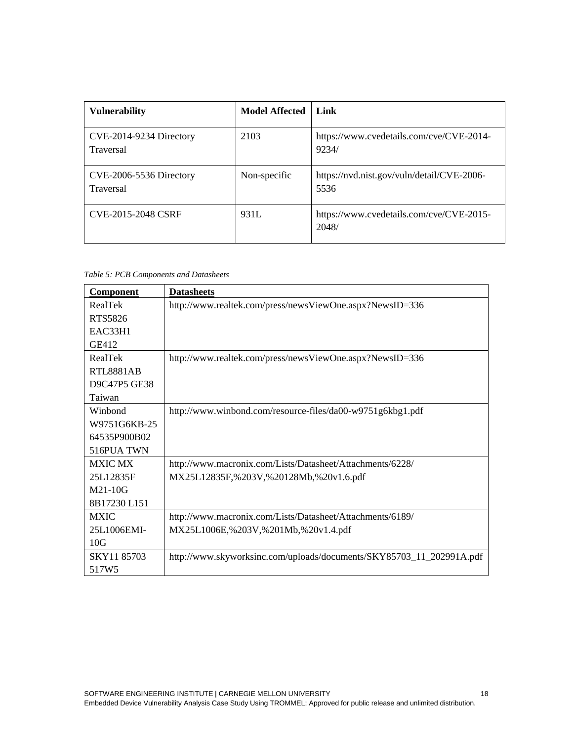| <b>Vulnerability</b>                        | <b>Model Affected</b> | Link                                               |
|---------------------------------------------|-----------------------|----------------------------------------------------|
| CVE-2014-9234 Directory<br><b>Traversal</b> | 2103                  | https://www.cvedetails.com/cve/CVE-2014-<br>9234/  |
| CVE-2006-5536 Directory<br><b>Traversal</b> | Non-specific          | https://nvd.nist.gov/vuln/detail/CVE-2006-<br>5536 |
| CVE-2015-2048 CSRF                          | 931L                  | https://www.cvedetails.com/cve/CVE-2015-<br>2048/  |

*Table 5: PCB Components and Datasheets*

| Component        | <b>Datasheets</b>                                                    |
|------------------|----------------------------------------------------------------------|
| RealTek          | http://www.realtek.com/press/newsViewOne.aspx?NewsID=336             |
| RTS5826          |                                                                      |
| <b>EAC33H1</b>   |                                                                      |
| GE412            |                                                                      |
| RealTek          | http://www.realtek.com/press/newsViewOne.aspx?NewsID=336             |
| <b>RTL8881AB</b> |                                                                      |
| D9C47P5 GE38     |                                                                      |
| Taiwan           |                                                                      |
| Winbond          | http://www.winbond.com/resource-files/da00-w9751g6kbg1.pdf           |
| W9751G6KB-25     |                                                                      |
| 64535P900B02     |                                                                      |
| 516PUA TWN       |                                                                      |
| <b>MXIC MX</b>   | http://www.macronix.com/Lists/Datasheet/Attachments/6228/            |
| 25L12835F        | MX25L12835F,%203V,%20128Mb,%20v1.6.pdf                               |
| $M21-10G$        |                                                                      |
| 8B17230 L151     |                                                                      |
| <b>MXIC</b>      | http://www.macronix.com/Lists/Datasheet/Attachments/6189/            |
| 25L1006EMI-      | MX25L1006E,%203V,%201Mb,%20v1.4.pdf                                  |
| 10G              |                                                                      |
| SKY11 85703      | http://www.skyworksinc.com/uploads/documents/SKY85703_11_202991A.pdf |
| 517W5            |                                                                      |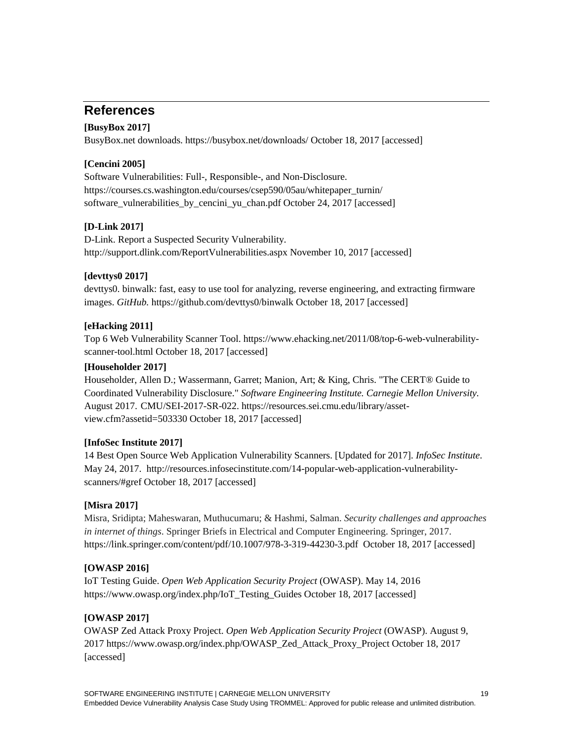## **References**

### **[BusyBox 2017]**

BusyBox.net downloads.<https://busybox.net/downloads/> October 18, 2017 [accessed]

### **[Cencini 2005]**

Software Vulnerabilities: Full-, Responsible-, and Non-Disclosure. [https://courses.cs.washington.edu/courses/csep590/05au/whitepaper\\_turnin/](https://courses.cs.washington.edu/courses/csep590/05au/whitepaper_turnin/%E2%80%8Csoftware_vulnerabilities_by_cencini_yu_chan.pdf) software vulnerabilities by cencini yu chan.pdf October 24, 2017 [accessed]

### **[D-Link 2017]**

D-Link. Report a Suspected Security Vulnerability. <http://support.dlink.com/ReportVulnerabilities.aspx> November 10, 2017 [accessed]

### **[devttys0 2017]**

devttys0. binwalk: fast, easy to use tool for analyzing, reverse engineering, and extracting firmware images. *GitHub.* <https://github.com/devttys0/binwalk> October 18, 2017 [accessed]

### **[eHacking 2011]**

Top 6 Web Vulnerability Scanner Tool. [https://www.ehacking.net/2011/08/top-6-web-vulnerability](https://www.ehacking.net/2011/08/top-6-web-vulnerability-scanner-tool.html)[scanner-tool.html](https://www.ehacking.net/2011/08/top-6-web-vulnerability-scanner-tool.html) October 18, 2017 [accessed]

### **[Householder 2017]**

Householder, Allen D.; Wassermann, Garret; Manion, Art; & King, Chris. "The CERT® Guide to Coordinated Vulnerability Disclosure." *Software Engineering Institute. Carnegie Mellon University.*  August 2017. CMU/SEI-2017-SR-022. [https://resources.sei.cmu.edu/library/asset](https://resources.sei.cmu.edu/library/asset-view.cfm?assetid=503330)[view.cfm?assetid=503330](https://resources.sei.cmu.edu/library/asset-view.cfm?assetid=503330) October 18, 2017 [accessed]

### **[InfoSec Institute 2017]**

14 Best Open Source Web Application Vulnerability Scanners. [Updated for 2017]. *InfoSec Institute*. May 24, 2017. [http://resources.infosecinstitute.com/14-popular-web-application-vulnerability](http://resources.infosecinstitute.com/14-popular-web-application-vulnerability-scanners/#gref)[scanners/#gref](http://resources.infosecinstitute.com/14-popular-web-application-vulnerability-scanners/#gref) October 18, 2017 [accessed]

### **[Misra 2017]**

Misra, Sridipta; Maheswaran, Muthucumaru; & Hashmi, Salman. *Security challenges and approaches in internet of things*. Springer Briefs in Electrical and Computer Engineering. Springer, 2017. <https://link.springer.com/content/pdf/10.1007/978-3-319-44230-3.pdf>October 18, 2017 [accessed]

### **[OWASP 2016]**

IoT Testing Guide. *Open Web Application Security Project* (OWASP). May 14, 2016 [https://www.owasp.org/index.php/IoT\\_Testing\\_Guides](https://www.owasp.org/index.php/IoT_Testing_Guides) October 18, 2017 [accessed]

### **[OWASP 2017]**

OWASP Zed Attack Proxy Project. *Open Web Application Security Project* (OWASP). August 9, 2017 [https://www.owasp.org/index.php/OWASP\\_Zed\\_Attack\\_Proxy\\_Project](https://www.owasp.org/index.php/OWASP_Zed_Attack_Proxy_Project) October 18, 2017 [accessed]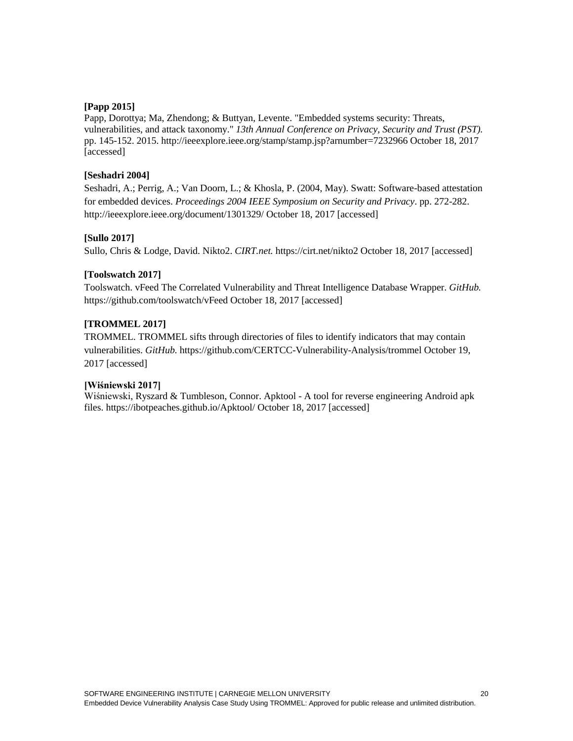#### **[Papp 2015]**

Papp, Dorottya; Ma, Zhendong; & Buttyan, Levente. "Embedded systems security: Threats, vulnerabilities, and attack taxonomy." *13th Annual Conference on Privacy, Security and Trust (PST).* pp. 145-152. 2015.<http://ieeexplore.ieee.org/stamp/stamp.jsp?arnumber=7232966> October 18, 2017 [accessed]

#### **[Seshadri 2004]**

Seshadri, A.; Perrig, A.; Van Doorn, L.; & Khosla, P. (2004, May). Swatt: Software-based attestation for embedded devices. *Proceedings 2004 IEEE Symposium on Security and Privacy*. pp. 272-282. <http://ieeexplore.ieee.org/document/1301329/> October 18, 2017 [accessed]

#### **[Sullo 2017]**

Sullo, Chris & Lodge, David. Nikto2. *CIRT.net.* <https://cirt.net/nikto2> October 18, 2017 [accessed]

#### **[Toolswatch 2017]**

Toolswatch. vFeed The Correlated Vulnerability and Threat Intelligence Database Wrapper. *GitHub.* <https://github.com/toolswatch/vFeed> October 18, 2017 [accessed]

### **[TROMMEL 2017]**

TROMMEL. TROMMEL sifts through directories of files to identify indicators that may contain vulnerabilities. *GitHub.* <https://github.com/CERTCC-Vulnerability-Analysis/trommel> October 19, 2017 [accessed]

#### **[Wiśniewski 2017]**

Wiśniewski, Ryszard & Tumbleson, Connor. Apktool - A tool for reverse engineering Android apk files.<https://ibotpeaches.github.io/Apktool/> October 18, 2017 [accessed]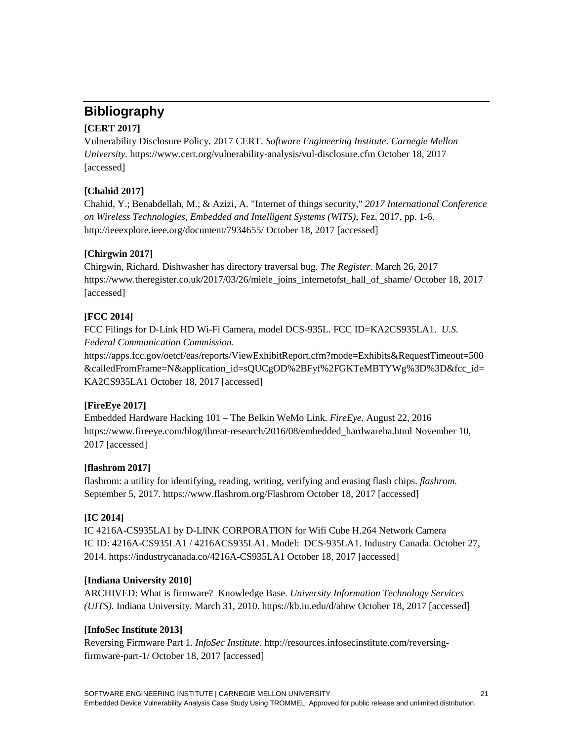## **Bibliography**

### **[CERT 2017]**

Vulnerability Disclosure Policy. 2017 CERT. *Software Engineering Institute. Carnegie Mellon University.* <https://www.cert.org/vulnerability-analysis/vul-disclosure.cfm> October 18, 2017 [accessed]

### **[Chahid 2017]**

Chahid, Y.; Benabdellah, M.; & Azizi, A. "Internet of things security," *2017 International Conference on Wireless Technologies, Embedded and Intelligent Systems (WITS)*, Fez, 2017, pp. 1-6. <http://ieeexplore.ieee.org/document/7934655/> October 18, 2017 [accessed]

### **[Chirgwin 2017]**

[Chirgwin,](https://www.theregister.co.uk/Author/Richard-Chirgwin) Richard. Dishwasher has directory traversal bug*. The Register*. March 26, 2017 [https://www.theregister.co.uk/2017/03/26/miele\\_joins\\_internetofst\\_hall\\_of\\_shame/](https://www.theregister.co.uk/2017/03/26/miele_joins_internetofst_hall_of_shame/) October 18, 2017 [accessed]

### **[FCC 2014]**

FCC Filings for D-Link HD Wi-Fi Camera, model DCS-935L. FCC ID=KA2CS935LA1. *U.S. Federal Communication Commission*.

[https://apps.fcc.gov/oetcf/eas/reports/ViewExhibitReport.cfm?mode=Exhibits&RequestTimeout=500](https://apps.fcc.gov/oetcf/eas/reports/ViewExhibitReport.cfm?mode=Exhibits&RequestTimeout=500&calledFromFrame=N&application_id=sQUCgOD%2BFyf%2FGKTeMBTYWg%3D%3D&fcc_id=KA2CS935LA1) [&calledFromFrame=N&application\\_id=sQUCgOD%2BFyf%2FGKTeMBTYWg%3D%3D&fcc\\_id=](https://apps.fcc.gov/oetcf/eas/reports/ViewExhibitReport.cfm?mode=Exhibits&RequestTimeout=500&calledFromFrame=N&application_id=sQUCgOD%2BFyf%2FGKTeMBTYWg%3D%3D&fcc_id=KA2CS935LA1) [KA2CS935LA1](https://apps.fcc.gov/oetcf/eas/reports/ViewExhibitReport.cfm?mode=Exhibits&RequestTimeout=500&calledFromFrame=N&application_id=sQUCgOD%2BFyf%2FGKTeMBTYWg%3D%3D&fcc_id=KA2CS935LA1) October 18, 2017 [accessed]

### **[FireEye 2017]**

Embedded Hardware Hacking 101 – The Belkin WeMo Link. *FireEye.* August 22, 2016 [https://www.fireeye.com/blog/threat-research/2016/08/embedded\\_hardwareha.html](https://www.fireeye.com/blog/threat-research/2016/08/embedded_hardwareha.html) November 10, 2017 [accessed]

### **[flashrom 2017]**

flashrom: a utility for identifying, reading, writing, verifying and erasing flash chips. *flashrom.* September 5, 2017.<https://www.flashrom.org/Flashrom> October 18, 2017 [accessed]

### **[IC 2014]**

IC 4216A-CS935LA1 by D-LINK CORPORATION for Wifi Cube H.264 Network Camera IC ID: 4216A-CS935LA1 / 4216ACS935LA1. Model: DCS-935LA1. Industry Canada. October 27, 2014.<https://industrycanada.co/4216A-CS935LA1> October 18, 2017 [accessed]

### **[Indiana University 2010]**

ARCHIVED: What is firmware? Knowledge Base*. University Information Technology Services (UITS).* Indiana University. March 31, 2010.<https://kb.iu.edu/d/ahtw> October 18, 2017 [accessed]

### **[InfoSec Institute 2013]**

Reversing Firmware Part 1. *InfoSec Institute*. [http://resources.infosecinstitute.com/reversing](http://resources.infosecinstitute.com/reversing-firmware-part-1/)[firmware-part-1/](http://resources.infosecinstitute.com/reversing-firmware-part-1/) October 18, 2017 [accessed]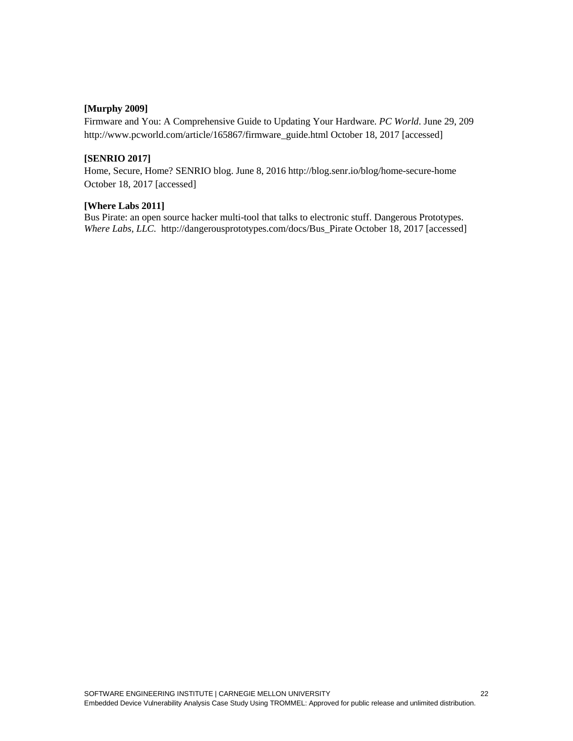### **[Murphy 2009]**

Firmware and You: A Comprehensive Guide to Updating Your Hardware. *PC World*. June 29, 209 [http://www.pcworld.com/article/165867/firmware\\_guide.html](http://www.pcworld.com/article/165867/firmware_guide.html) October 18, 2017 [accessed]

#### **[SENRIO 2017]**

Home, Secure, Home? SENRIO blog. June 8, 2016 <http://blog.senr.io/blog/home-secure-home> October 18, 2017 [accessed]

#### **[Where Labs 2011]**

Bus Pirate: an open source hacker multi-tool that talks to electronic stuff. Dangerous Prototypes. *Where Labs, LLC.* [http://dangerousprototypes.com/docs/Bus\\_Pirate](http://dangerousprototypes.com/docs/Bus_Pirate) October 18, 2017 [accessed]